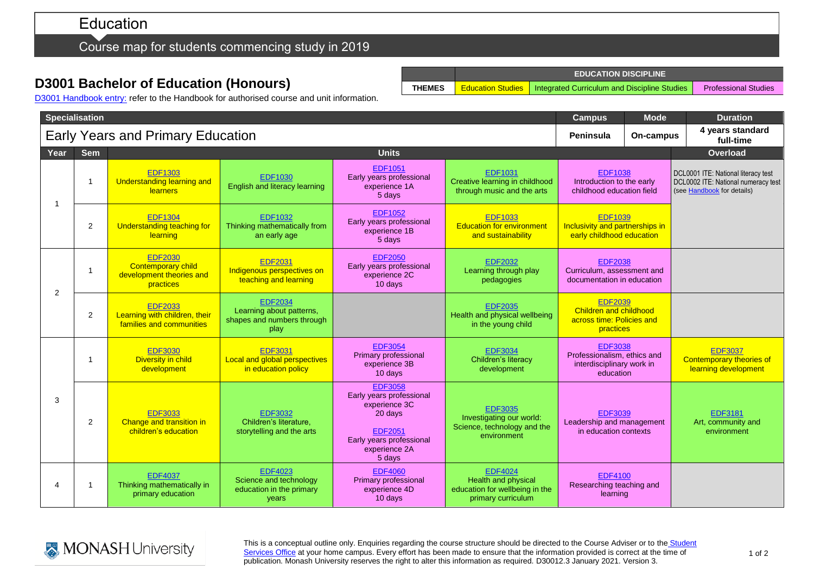# Education

Course map for students commencing study in 2019

# **D3001 Bachelor of Education (Honours)**

**EDUCATION DISCIPLINE THEMES** Education Studies | Integrated Curriculum and Discipline Studies | Professional Studies

D3001 [Handbook entry:](http://www.monash.edu.au/pubs/2019handbooks/courses/D3001.html) refer to the Handbook for authorised course and unit information.

|                       | <b>Specialisation</b> |                                                                                      | <b>Campus</b>                                                                    | <b>Mode</b>                                                                                                                                     | <b>Duration</b>                                                                                      |                                                                                           |  |                                                                                                          |
|-----------------------|-----------------------|--------------------------------------------------------------------------------------|----------------------------------------------------------------------------------|-------------------------------------------------------------------------------------------------------------------------------------------------|------------------------------------------------------------------------------------------------------|-------------------------------------------------------------------------------------------|--|----------------------------------------------------------------------------------------------------------|
|                       |                       | <b>Early Years and Primary Education</b>                                             | Peninsula                                                                        | On-campus                                                                                                                                       | 4 years standard<br>full-time                                                                        |                                                                                           |  |                                                                                                          |
| Year                  | <b>Sem</b>            |                                                                                      |                                                                                  | <b>Units</b>                                                                                                                                    |                                                                                                      |                                                                                           |  | Overload                                                                                                 |
| $\overline{1}$        | -1                    | <b>EDF1303</b><br><b>Understanding learning and</b><br><b>learners</b>               | <b>EDF1030</b><br>English and literacy learning                                  | <b>EDF1051</b><br>Early years professional<br>experience 1A<br>5 days                                                                           | <b>EDF1031</b><br>Creative learning in childhood<br>through music and the arts                       | <b>EDF1038</b><br>Introduction to the early<br>childhood education field                  |  | DCL0001 ITE: National literacy test<br>DCL0002 ITE: National numeracy test<br>(see Handbook for details) |
|                       | 2                     | <b>EDF1304</b><br>Understanding teaching for<br>learning                             | <b>EDF1032</b><br>Thinking mathematically from<br>an early age                   | <b>EDF1052</b><br>Early years professional<br>experience 1B<br>5 days                                                                           | <b>EDF1033</b><br><b>Education for environment</b><br>and sustainability                             | <b>EDF1039</b><br>Inclusivity and partnerships in<br>early childhood education            |  |                                                                                                          |
| 2                     | -1                    | <b>EDF2030</b><br><b>Contemporary child</b><br>development theories and<br>practices | <b>EDF2031</b><br>Indigenous perspectives on<br>teaching and learning            | <b>EDF2050</b><br>Early years professional<br>experience 2C<br>10 days                                                                          | <b>EDF2032</b><br>Learning through play<br>pedagogies                                                | <b>EDF2038</b><br>Curriculum, assessment and<br>documentation in education                |  |                                                                                                          |
|                       | $\overline{2}$        | <b>EDF2033</b><br>Learning with children, their<br>families and communities          | <b>EDF2034</b><br>Learning about patterns,<br>shapes and numbers through<br>play |                                                                                                                                                 | <b>EDF2035</b><br>Health and physical wellbeing<br>in the young child                                | <b>EDF2039</b><br><b>Children and childhood</b><br>across time: Policies and<br>practices |  |                                                                                                          |
| 3                     | -1                    | <b>EDF3030</b><br>Diversity in child<br>development                                  | <b>EDF3031</b><br>Local and global perspectives<br>in education policy           | <b>EDF3054</b><br>Primary professional<br>experience 3B<br>10 days                                                                              | <b>EDF3034</b><br>Children's literacy<br>development                                                 | <b>EDF3038</b><br>Professionalism, ethics and<br>interdisciplinary work in<br>education   |  | <b>EDF3037</b><br>Contemporary theories of<br>learning development                                       |
|                       | $\overline{2}$        | <b>EDF3033</b><br>Change and transition in<br>children's education                   | <b>EDF3032</b><br>Children's literature,<br>storytelling and the arts            | <b>EDF3058</b><br>Early years professional<br>experience 3C<br>20 days<br><b>EDF2051</b><br>Early years professional<br>experience 2A<br>5 days | <b>EDF3035</b><br>Investigating our world:<br>Science, technology and the<br>environment             | <b>EDF3039</b><br>Leadership and management<br>in education contexts                      |  | <b>EDF3181</b><br>Art, community and<br>environment                                                      |
| $\boldsymbol{\Delta}$ | -1                    | <b>EDF4037</b><br>Thinking mathematically in<br>primary education                    | <b>EDF4023</b><br>Science and technology<br>education in the primary<br>vears    | <b>EDF4060</b><br>Primary professional<br>experience 4D<br>10 days                                                                              | <b>EDF4024</b><br><b>Health and physical</b><br>education for wellbeing in the<br>primary curriculum | <b>EDF4100</b><br>Researching teaching and<br>learning                                    |  |                                                                                                          |



This is a conceptual outline only. Enquiries regarding the course structure should be directed to the Course Adviser or to the Student [Services Office](https://www.monash.edu/education/current-students/contact) at your home campus. Every effort has been made to ensure that the information provided is correct at the time of publication. Monash University reserves the right to alter this information as required. D30012.3 January 2021. Version 3.